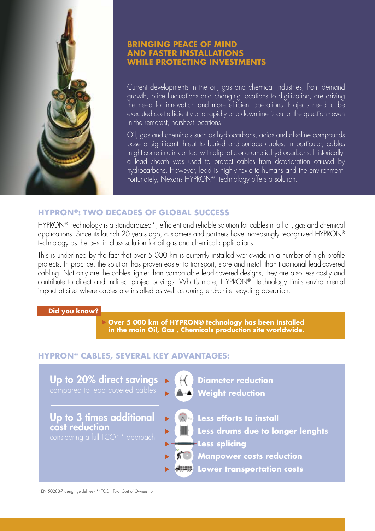

## **BRINGING PEACE OF MIND AND FASTER INSTALLATIONS WHILE PROTECTING INVESTMENTS**

Current developments in the oil, gas and chemical industries, from demand growth, price fluctuations and changing locations to digitization, are driving the need for innovation and more efficient operations. Projects need to be executed cost efficiently and rapidly and downtime is out of the question - even in the remotest, harshest locations.

Oil, gas and chemicals such as hydrocarbons, acids and alkaline compounds pose a significant threat to buried and surface cables. In particular, cables might come into in contact with aliphatic or aromatic hydrocarbons. Historically, a lead sheath was used to protect cables from deterioration caused by hydrocarbons. However, lead is highly toxic to humans and the environment. Fortunately, Nexans HYPRON® technology offers a solution.

# **HYPRON®: TWO DECADES OF GLOBAL SUCCESS**

HYPRON® technology is a standardized\*, efficient and reliable solution for cables in all oil, gas and chemical applications. Since its launch 20 years ago, customers and partners have increasingly recognized HYPRON® technology as the best in class solution for oil gas and chemical applications.

This is underlined by the fact that over 5 000 km is currently installed worldwide in a number of high profile projects. In practice, the solution has proven easier to transport, store and install than traditional lead-covered cabling. Not only are the cables lighter than comparable lead-covered designs, they are also less costly and contribute to direct and indirect project savings. What's more, HYPRON® technology limits environmental impact at sites where cables are installed as well as during end-of-life recycling operation.

#### **Did you know?**

 **Over 5 000 km of HYPRON® technology has been installed in the main Oil, Gas , Chemicals production site worldwide.**

#### **HYPRON® CABLES, SEVERAL KEY ADVANTAGES:**



\*EN 50288-7 design guidelines - \*\*TCO : Total Cost of Ownership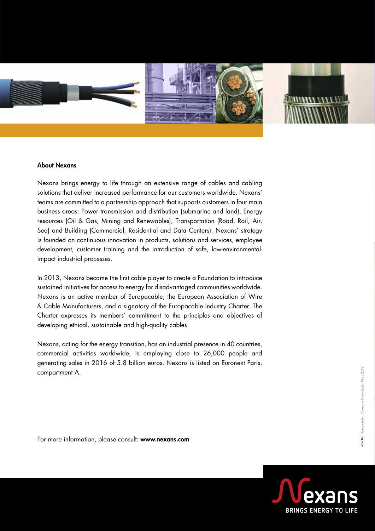

#### About Nexans

Nexans brings energy to life through an extensive range of cables and cabling solutions that deliver increased performance for our customers worldwide. Nexans' teams are committed to a partnership approach that supports customers in four main business areas: Power transmission and distribution (submarine and land), Energy resources (Oil & Gas, Mining and Renewables), Transportation (Road, Rail, Air, Sea) and Building (Commercial, Residential and Data Centers). Nexans' strategy is founded on continuous innovation in products, solutions and services, employee development, customer training and the introduction of safe, low-environmentalimpact industrial processes.

In 2013, Nexans became the first cable player to create a Foundation to introduce sustained initiatives for access to energy for disadvantaged communities worldwide. Nexans is an active member of Europacable, the European Association of Wire & Cable Manufacturers, and a signatory of the Europacable Industry Charter. The Charter expresses its members' commitment to the principles and objectives of developing ethical, sustainable and high-quality cables.

Nexans, acting for the energy transition, has an industrial presence in 40 countries, commercial activities worldwide, is employing close to 26,000 people and generating sales in 2016 of 5.8 billion euros. Nexans is listed on Euronext Paris, compartment A.

For more information, please consult: www.nexans.com

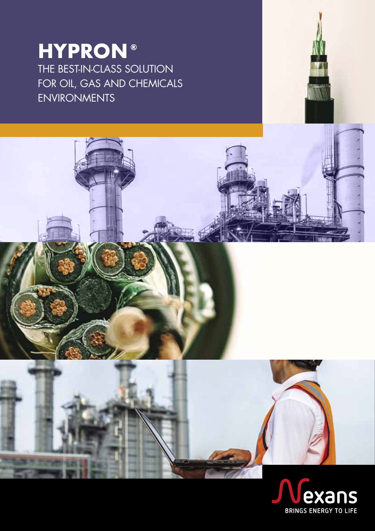# **HYPRON ®**THE BEST-IN-CLASS SOLUTION FOR OIL, GAS AND CHEMICALS ENVIRONMENTS

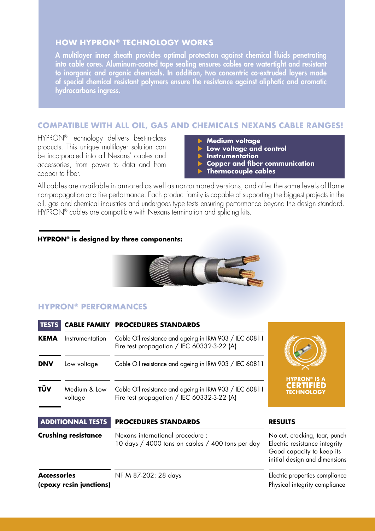# **HOW HYPRON® TECHNOLOGY WORKS**

A multilayer inner sheath provides optimal protection against chemical fluids penetrating into cable cores. Aluminum-coated tape sealing ensures cables are watertight and resistant to inorganic and organic chemicals. In addition, two concentric co-extruded layers made of special chemical resistant polymers ensure the resistance against aliphatic and aromatic hydrocarbons ingress.

# **COMPATIBLE WITH ALL OIL, GAS AND CHEMICALS NEXANS CABLE RANGES!**

HYPRON® technology delivers best-in-class products. This unique multilayer solution can be incorporated into all Nexans' cables and accessories, from power to data and from copper to fiber.

- **Medium voltage**
- **Low voltage and control**
- **Instrumentation**
- **Copper and fiber communication**
- **Thermocouple cables**

All cables are available in armored as well as non-armored versions, and offer the same levels of flame non-propagation and fire performance. Each product family is capable of supporting the biggest projects in the oil, gas and chemical industries and undergoes type tests ensuring performance beyond the design standard. HYPRON<sup>®</sup> cables are compatible with Nexans termination and splicing kits.

#### **HYPRON® is designed by three components:**



# **HYPRON® PERFORMANCES**

| <b>TESTS</b> |                         | <b>CABLE FAMILY PROCEDURES STANDARDS</b>                                                             |                                                              |
|--------------|-------------------------|------------------------------------------------------------------------------------------------------|--------------------------------------------------------------|
| <b>KEMA</b>  | Instrumentation         | Cable Oil resistance and ageing in IRM 903 / IEC 60811<br>Fire test propagation / IEC 60332-3-22 (A) |                                                              |
| <b>DNV</b>   | Low voltage             | Cable Oil resistance and ageing in IRM 903 / IEC 60811                                               |                                                              |
| TÜV          | Medium & Low<br>voltage | Cable Oil resistance and ageing in IRM 903 / IEC 60811<br>Fire test propagation / IEC 60332-3-22 (A) | <b>HYPRON® IS A</b><br><b>CERTIFIED</b><br><b>TECHNOLOGY</b> |

| <b>ADDITIONNAL TESTS</b>                      | <b>PROCEDURES STANDARDS</b>                                                          | <b>RESULTS</b>                                                                                                               |
|-----------------------------------------------|--------------------------------------------------------------------------------------|------------------------------------------------------------------------------------------------------------------------------|
| <b>Crushing resistance</b>                    | Nexans international procedure :<br>10 days / 4000 tons on cables / 400 tons per day | No cut, cracking, tear, punch<br>Electric resistance integrity<br>Good capacity to keep its<br>initial design and dimensions |
| <b>Accessories</b><br>(epoxy resin junctions) | NF M 87-202: 28 days                                                                 | Electric properties compliance<br>Physical integrity compliance                                                              |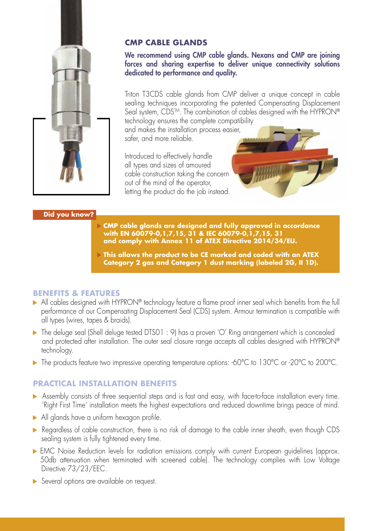

# **CMP CABLE GLANDS**

We recommend using CMP cable glands. Nexans and CMP are joining forces and sharing expertise to deliver unique connectivity solutions dedicated to performance and quality.

Triton T3CDS cable glands from CMP deliver a unique concept in cable sealing techniques incorporating the patented Compensating Displacement Seal system, CDS<sup>TM</sup>. The combination of cables designed with the HYPRON®

technology ensures the complete compatibility and makes the installation process easier, safer, and more reliable.

Introduced to effectively handle all types and sizes of amoured cable construction taking the concern out of the mind of the operator, letting the product do the job instead.



# **Did you know?**

- **CMP cable glands are designed and fully approved in accordance with EN 60079-0,1,7,15, 31 & IEC 60079-0,1,7,15, 31 and comply with Annex 11 of ATEX Directive 2014/34/EU.**
- **This allows the product to be CE marked and coded with an ATEX Category 2 gas and Category 1 dust marking (labeled 2G, II 1D).**

### **BENEFITS & FEATURES**

- ▶ All cables designed with HYPRON® technology feature a flame proof inner seal which benefits from the full performance of our Compensating Displacement Seal (CDS) system. Armour termination is compatible with all types (wires, tapes & braids).
- The deluge seal (Shell deluge tested DTS01 : 9) has a proven 'O' Ring arrangement which is concealed and protected after installation. The outer seal closure range accepts all cables designed with HYPRON® technology.
- The products feature two impressive operating temperature options: -60°C to 130°C or -20°C to 200°C.

# **PRACTICAL INSTALLATION BENEFITS**

- Assembly consists of three sequential steps and is fast and easy, with face-to-face installation every time. 'Right First Time' installation meets the highest expectations and reduced downtime brings peace of mind.
- All glands have a uniform hexagon profile.
- Regardless of cable construction, there is no risk of damage to the cable inner sheath, even though CDS sealing system is fully tightened every time.
- EMC Noise Reduction levels for radiation emissions comply with current European quidelines (approx. 50db attenuation when terminated with screened cable). The technology complies with Low Voltage Directive 73/23/EEC.
- **•** Several options are available on request.